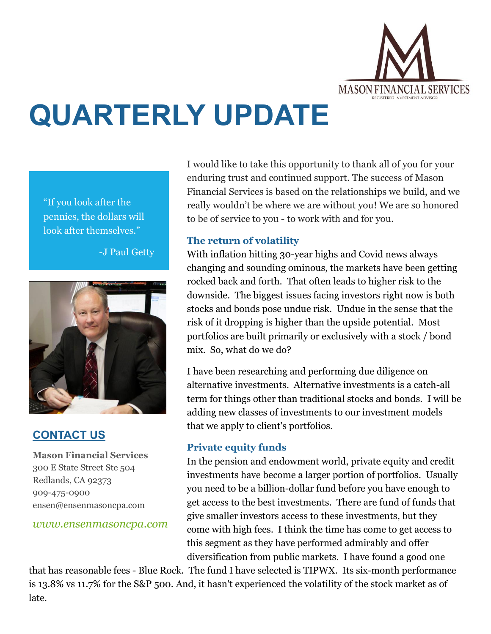

# **QUARTERLY UPDATE**

"If you look after the pennies, the dollars will look after themselves."

-J Paul Getty



# **CONTACT US**

**Mason Financial Services** 300 E State Street Ste 504 Redlands, CA 92373 909-475-0900 ensen@ensenmasoncpa.com

*[www.ensenmasoncpa.com](http://www.ensenmasoncpa.com/)*

I would like to take this opportunity to thank all of you for your enduring trust and continued support. The success of Mason Financial Services is based on the relationships we build, and we really wouldn't be where we are without you! We are so honored to be of service to you - to work with and for you.

## **The return of volatility**

With inflation hitting 30-year highs and Covid news always changing and sounding ominous, the markets have been getting rocked back and forth. That often leads to higher risk to the downside. The biggest issues facing investors right now is both stocks and bonds pose undue risk. Undue in the sense that the risk of it dropping is higher than the upside potential. Most portfolios are built primarily or exclusively with a stock / bond mix. So, what do we do?

I have been researching and performing due diligence on alternative investments. Alternative investments is a catch-all term for things other than traditional stocks and bonds. I will be adding new classes of investments to our investment models that we apply to client's portfolios.

# **Private equity funds**

In the pension and endowment world, private equity and credit investments have become a larger portion of portfolios. Usually you need to be a billion-dollar fund before you have enough to get access to the best investments. There are fund of funds that give smaller investors access to these investments, but they come with high fees. I think the time has come to get access to this segment as they have performed admirably and offer diversification from public markets. I have found a good one

that has reasonable fees - Blue Rock. The fund I have selected is TIPWX. Its six-month performance is 13.8% vs 11.7% for the S&P 500. And, it hasn't experienced the volatility of the stock market as of late.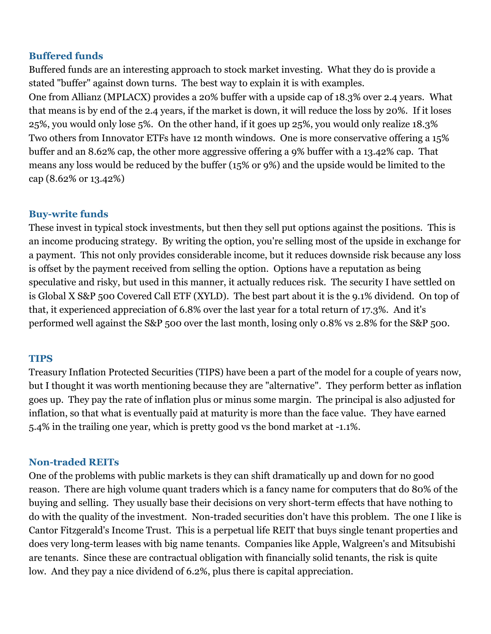#### **Buffered funds**

Buffered funds are an interesting approach to stock market investing. What they do is provide a stated "buffer" against down turns. The best way to explain it is with examples. One from Allianz (MPLACX) provides a 20% buffer with a upside cap of 18.3% over 2.4 years. What that means is by end of the 2.4 years, if the market is down, it will reduce the loss by 20%. If it loses 25%, you would only lose 5%. On the other hand, if it goes up 25%, you would only realize 18.3% Two others from Innovator ETFs have 12 month windows. One is more conservative offering a 15% buffer and an 8.62% cap, the other more aggressive offering a 9% buffer with a 13.42% cap. That means any loss would be reduced by the buffer (15% or 9%) and the upside would be limited to the cap (8.62% or 13.42%)

### **Buy-write funds**

These invest in typical stock investments, but then they sell put options against the positions. This is an income producing strategy. By writing the option, you're selling most of the upside in exchange for a payment. This not only provides considerable income, but it reduces downside risk because any loss is offset by the payment received from selling the option. Options have a reputation as being speculative and risky, but used in this manner, it actually reduces risk. The security I have settled on is Global X S&P 500 Covered Call ETF (XYLD). The best part about it is the 9.1% dividend. On top of that, it experienced appreciation of 6.8% over the last year for a total return of 17.3%. And it's performed well against the S&P 500 over the last month, losing only 0.8% vs 2.8% for the S&P 500.

#### **TIPS**

Treasury Inflation Protected Securities (TIPS) have been a part of the model for a couple of years now, but I thought it was worth mentioning because they are "alternative". They perform better as inflation goes up. They pay the rate of inflation plus or minus some margin. The principal is also adjusted for inflation, so that what is eventually paid at maturity is more than the face value. They have earned 5.4% in the trailing one year, which is pretty good vs the bond market at -1.1%.

#### **Non-traded REITs**

One of the problems with public markets is they can shift dramatically up and down for no good reason. There are high volume quant traders which is a fancy name for computers that do 80% of the buying and selling. They usually base their decisions on very short-term effects that have nothing to do with the quality of the investment. Non-traded securities don't have this problem. The one I like is Cantor Fitzgerald's Income Trust. This is a perpetual life REIT that buys single tenant properties and does very long-term leases with big name tenants. Companies like Apple, Walgreen's and Mitsubishi are tenants. Since these are contractual obligation with financially solid tenants, the risk is quite low. And they pay a nice dividend of 6.2%, plus there is capital appreciation.